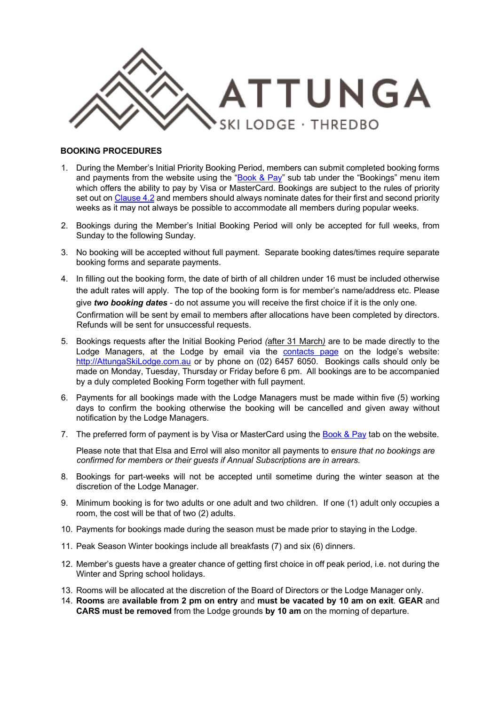

# **BOOKING PROCEDURES**

- 1. During the Member's Initial Priority Booking Period, members can submit completed booking forms and payments from the website using the " $Book & Pay$ " sub tab under the "Bookings" menu item which offers the ability to pay by Visa or MasterCard. Bookings are subject to the rules of priority set out on Clause 4.2 and members should always nominate dates for their first and second priority weeks as it may not always be possible to accommodate all members during popular weeks.
- 2. Bookings during the Member's Initial Booking Period will only be accepted for full weeks, from Sunday to the following Sunday.
- 3. No booking will be accepted without full payment. Separate booking dates/times require separate booking forms and separate payments.
- 4. In filling out the booking form, the date of birth of all children under 16 must be included otherwise the adult rates will apply. The top of the booking form is for member's name/address etc. Please give *two booking dates* - do not assume you will receive the first choice if it is the only one. Confirmation will be sent by email to members after allocations have been completed by directors. Refunds will be sent for unsuccessful requests.
- 5. Bookings requests after the Initial Booking Period *(*after 31 March*)* are to be made directly to the Lodge Managers, at the Lodge by email via the contacts page on the lodge's website: http://AttungaSkiLodge.com.au or by phone on (02) 6457 6050. Bookings calls should only be made on Monday, Tuesday, Thursday or Friday before 6 pm. All bookings are to be accompanied by a duly completed Booking Form together with full payment.
- 6. Payments for all bookings made with the Lodge Managers must be made within five (5) working days to confirm the booking otherwise the booking will be cancelled and given away without notification by the Lodge Managers.
- 7. The preferred form of payment is by Visa or MasterCard using the Book & Pay tab on the website.

Please note that that Elsa and Errol will also monitor all payments to *ensure that no bookings are confirmed for members or their guests if Annual Subscriptions are in arrears.* 

- 8. Bookings for part-weeks will not be accepted until sometime during the winter season at the discretion of the Lodge Manager.
- 9. Minimum booking is for two adults or one adult and two children. If one (1) adult only occupies a room, the cost will be that of two (2) adults.
- 10. Payments for bookings made during the season must be made prior to staying in the Lodge.
- 11. Peak Season Winter bookings include all breakfasts (7) and six (6) dinners.
- 12. Member's guests have a greater chance of getting first choice in off peak period, i.e. not during the Winter and Spring school holidays.
- 13. Rooms will be allocated at the discretion of the Board of Directors or the Lodge Manager only.
- 14. **Rooms** are **available from 2 pm on entry** and **must be vacated by 10 am on exit**. **GEAR** and **CARS must be removed** from the Lodge grounds **by 10 am** on the morning of departure.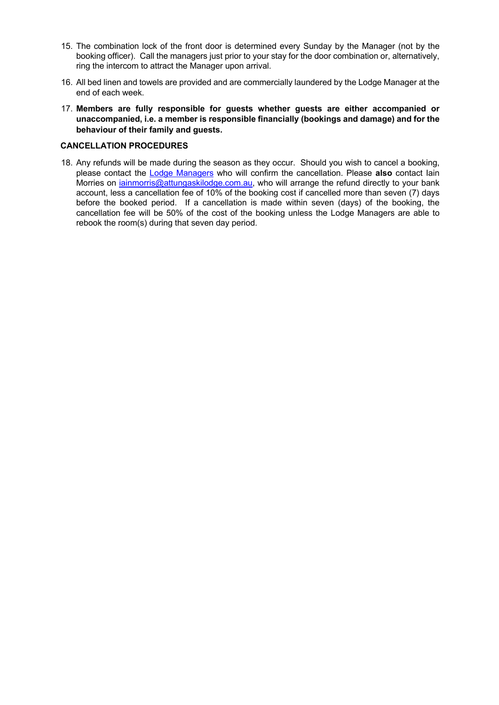- 15. The combination lock of the front door is determined every Sunday by the Manager (not by the booking officer). Call the managers just prior to your stay for the door combination or, alternatively, ring the intercom to attract the Manager upon arrival.
- 16. All bed linen and towels are provided and are commercially laundered by the Lodge Manager at the end of each week.
- 17. **Members are fully responsible for guests whether guests are either accompanied or unaccompanied, i.e. a member is responsible financially (bookings and damage) and for the behaviour of their family and guests.**

# **CANCELLATION PROCEDURES**

18. Any refunds will be made during the season as they occur. Should you wish to cancel a booking, please contact the Lodge Managers who will confirm the cancellation. Please **also** contact Iain Morries on *iainmorris@attungaskilodge.com.au,* who will arrange the refund directly to your bank account, less a cancellation fee of 10% of the booking cost if cancelled more than seven (7) days before the booked period. If a cancellation is made within seven (days) of the booking, the cancellation fee will be 50% of the cost of the booking unless the Lodge Managers are able to rebook the room(s) during that seven day period.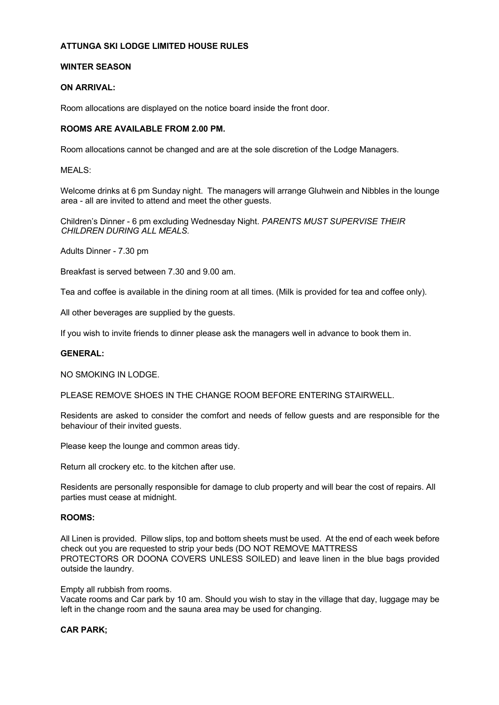# **ATTUNGA SKI LODGE LIMITED HOUSE RULES**

# **WINTER SEASON**

# **ON ARRIVAL:**

Room allocations are displayed on the notice board inside the front door.

### **ROOMS ARE AVAILABLE FROM 2.00 PM.**

Room allocations cannot be changed and are at the sole discretion of the Lodge Managers.

MFALS<sup>.</sup>

Welcome drinks at 6 pm Sunday night. The managers will arrange Gluhwein and Nibbles in the lounge area - all are invited to attend and meet the other guests.

Children's Dinner - 6 pm excluding Wednesday Night. *PARENTS MUST SUPERVISE THEIR CHILDREN DURING ALL MEALS.* 

Adults Dinner - 7.30 pm

Breakfast is served between 7.30 and 9.00 am.

Tea and coffee is available in the dining room at all times. (Milk is provided for tea and coffee only).

All other beverages are supplied by the guests.

If you wish to invite friends to dinner please ask the managers well in advance to book them in.

# **GENERAL:**

NO SMOKING IN LODGE.

PLEASE REMOVE SHOES IN THE CHANGE ROOM BEFORE ENTERING STAIRWELL.

Residents are asked to consider the comfort and needs of fellow guests and are responsible for the behaviour of their invited guests.

Please keep the lounge and common areas tidy.

Return all crockery etc. to the kitchen after use.

Residents are personally responsible for damage to club property and will bear the cost of repairs. All parties must cease at midnight.

### **ROOMS:**

All Linen is provided. Pillow slips, top and bottom sheets must be used. At the end of each week before check out you are requested to strip your beds (DO NOT REMOVE MATTRESS PROTECTORS OR DOONA COVERS UNLESS SOILED) and leave linen in the blue bags provided outside the laundry.

#### Empty all rubbish from rooms.

Vacate rooms and Car park by 10 am. Should you wish to stay in the village that day, luggage may be left in the change room and the sauna area may be used for changing.

#### **CAR PARK;**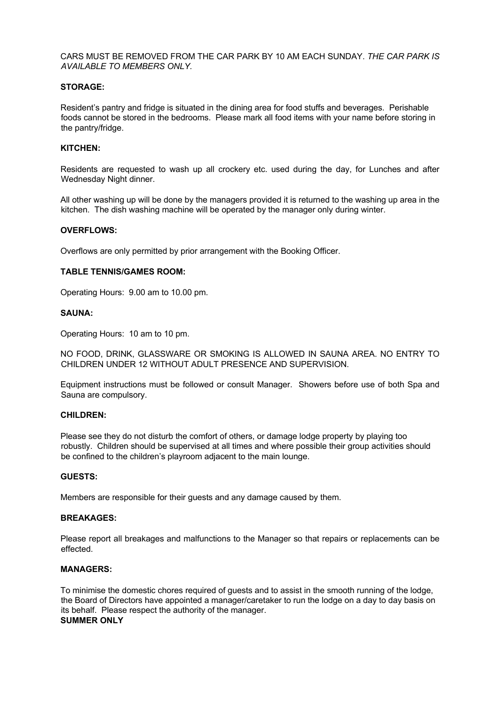CARS MUST BE REMOVED FROM THE CAR PARK BY 10 AM EACH SUNDAY. *THE CAR PARK IS AVAILABLE TO MEMBERS ONLY.* 

# **STORAGE:**

Resident's pantry and fridge is situated in the dining area for food stuffs and beverages. Perishable foods cannot be stored in the bedrooms. Please mark all food items with your name before storing in the pantry/fridge.

### **KITCHEN:**

Residents are requested to wash up all crockery etc. used during the day, for Lunches and after Wednesday Night dinner.

All other washing up will be done by the managers provided it is returned to the washing up area in the kitchen. The dish washing machine will be operated by the manager only during winter.

### **OVERFLOWS:**

Overflows are only permitted by prior arrangement with the Booking Officer.

### **TABLE TENNIS/GAMES ROOM:**

Operating Hours: 9.00 am to 10.00 pm.

#### **SAUNA:**

Operating Hours: 10 am to 10 pm.

NO FOOD, DRINK, GLASSWARE OR SMOKING IS ALLOWED IN SAUNA AREA. NO ENTRY TO CHILDREN UNDER 12 WITHOUT ADULT PRESENCE AND SUPERVISION.

Equipment instructions must be followed or consult Manager. Showers before use of both Spa and Sauna are compulsory.

## **CHILDREN:**

Please see they do not disturb the comfort of others, or damage lodge property by playing too robustly. Children should be supervised at all times and where possible their group activities should be confined to the children's playroom adjacent to the main lounge.

# **GUESTS:**

Members are responsible for their guests and any damage caused by them.

### **BREAKAGES:**

Please report all breakages and malfunctions to the Manager so that repairs or replacements can be effected.

# **MANAGERS:**

To minimise the domestic chores required of guests and to assist in the smooth running of the lodge, the Board of Directors have appointed a manager/caretaker to run the lodge on a day to day basis on its behalf. Please respect the authority of the manager. **SUMMER ONLY**